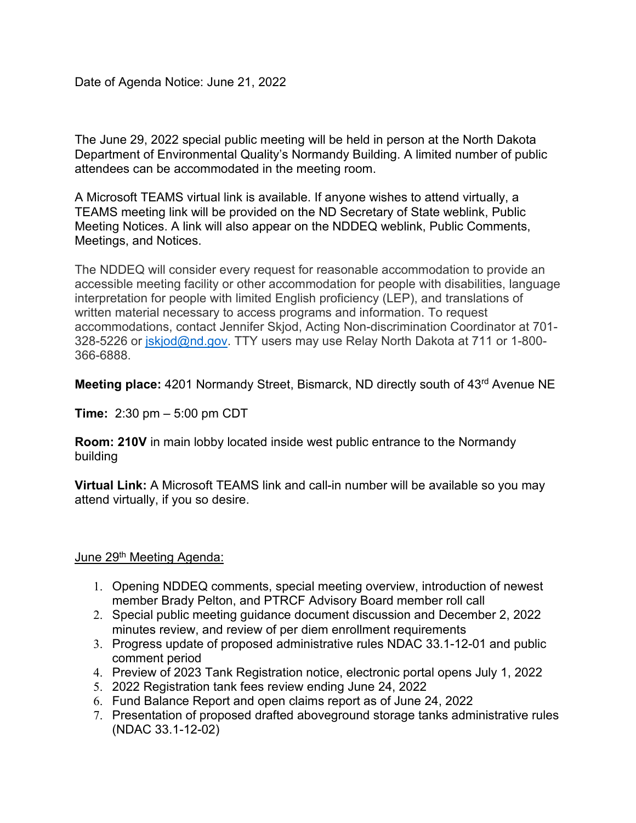Date of Agenda Notice: June 21, 2022

The June 29, 2022 special public meeting will be held in person at the North Dakota Department of Environmental Quality's Normandy Building. A limited number of public attendees can be accommodated in the meeting room.

A Microsoft TEAMS virtual link is available. If anyone wishes to attend virtually, a TEAMS meeting link will be provided on the ND Secretary of State weblink, Public Meeting Notices. A link will also appear on the NDDEQ weblink, Public Comments, Meetings, and Notices.

The NDDEQ will consider every request for reasonable accommodation to provide an accessible meeting facility or other accommodation for people with disabilities, language interpretation for people with limited English proficiency (LEP), and translations of written material necessary to access programs and information. To request accommodations, contact Jennifer Skjod, Acting Non-discrimination Coordinator at 701- 328-5226 or jskjod@nd.gov. TTY users may use Relay North Dakota at 711 or 1-800-366-6888.

**Meeting place:** 4201 Normandy Street, Bismarck, ND directly south of 43<sup>rd</sup> Avenue NE

**Time:** 2:30 pm – 5:00 pm CDT

**Room: 210V** in main lobby located inside west public entrance to the Normandy building

**Virtual Link:** A Microsoft TEAMS link and call-in number will be available so you may attend virtually, if you so desire.

## June 29<sup>th</sup> Meeting Agenda:

- 1. Opening NDDEQ comments, special meeting overview, introduction of newest member Brady Pelton, and PTRCF Advisory Board member roll call
- 2. Special public meeting guidance document discussion and December 2, 2022 minutes review, and review of per diem enrollment requirements
- 3. Progress update of proposed administrative rules NDAC 33.1-12-01 and public comment period
- 4. Preview of 2023 Tank Registration notice, electronic portal opens July 1, 2022
- 5. 2022 Registration tank fees review ending June 24, 2022
- 6. Fund Balance Report and open claims report as of June 24, 2022
- 7. Presentation of proposed drafted aboveground storage tanks administrative rules (NDAC 33.1-12-02)